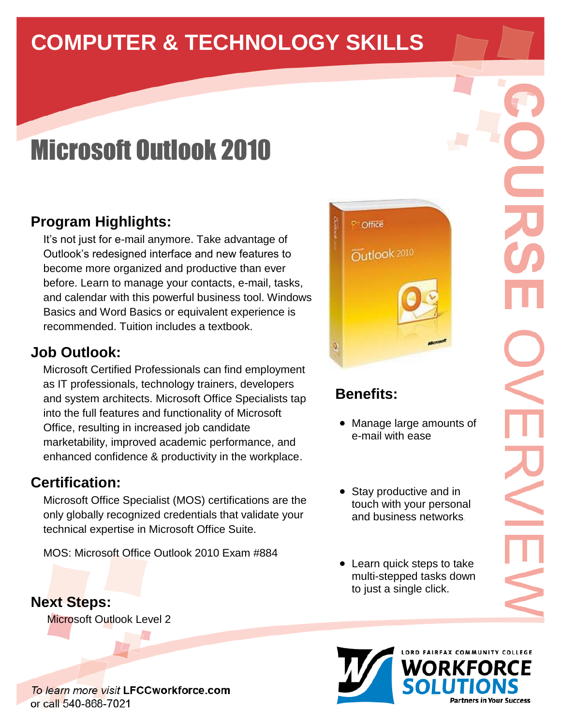# **COMPUTER & TECHNOLOGY SKILLS**

# Microsoft Outlook 2010

## **Program Highlights:**

It's not just for e-mail anymore. Take advantage of Outlook's redesigned interface and new features to become more organized and productive than ever before. Learn to manage your contacts, e-mail, tasks, and calendar with this powerful business tool. Windows Basics and Word Basics or equivalent experience is recommended. Tuition includes a textbook.

#### **Job Outlook:**

 Microsoft Certified Professionals can find employment as IT professionals, technology trainers, developers and system architects. Microsoft Office Specialists tap into the full features and functionality of Microsoft Office, resulting in increased job candidate marketability, improved academic performance, and enhanced confidence & productivity in the workplace.

#### **Certification:**

Microsoft Office Specialist (MOS) certifications are the only globally recognized credentials that validate your technical expertise in Microsoft Office Suite.

MOS: Microsoft Office Outlook 2010 Exam #884

#### **Next Steps:**

Microsoft Outlook Level 2

To learn more visit LFCCworkforce.com or call 540-868-7021



# **Benefits:**

- Manage large amounts of e-mail with ease
- Stay productive and in touch with your personal and business networks.
- Learn quick steps to take multi-stepped tasks down to just a single click.